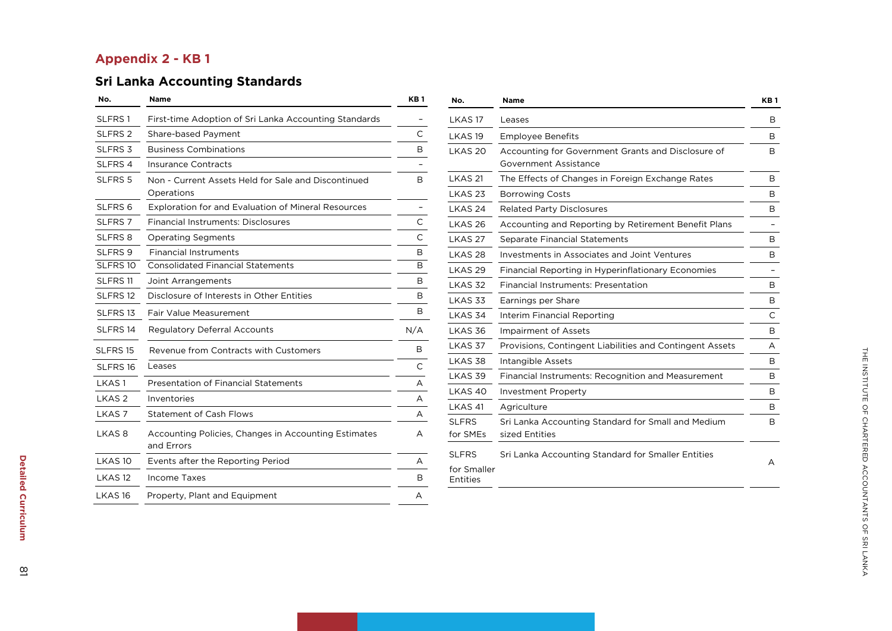## **Appendix 2 - KB 1**

# **Sri Lanka Accounting Standards**

| No.                 | Name                                                               | KB 1 |
|---------------------|--------------------------------------------------------------------|------|
| SLFRS1              | First-time Adoption of Sri Lanka Accounting Standards              |      |
| SLFRS <sub>2</sub>  | Share-based Payment                                                | С    |
| SLFRS <sub>3</sub>  | <b>Business Combinations</b>                                       | B    |
| SLFRS 4             | Insurance Contracts                                                |      |
| SLFRS 5             | Non - Current Assets Held for Sale and Discontinued<br>Operations  | B    |
| SLFRS <sub>6</sub>  | <b>Exploration for and Evaluation of Mineral Resources</b>         |      |
| SLFRS <sub>7</sub>  | <b>Financial Instruments: Disclosures</b>                          | С    |
| <b>SLFRS 8</b>      | <b>Operating Segments</b>                                          | C    |
| SLFRS 9             | <b>Financial Instruments</b>                                       | В    |
| SLFRS <sub>10</sub> | <b>Consolidated Financial Statements</b>                           | B    |
| SLFRS <sub>11</sub> | Joint Arrangements                                                 | В    |
| SLFRS <sub>12</sub> | Disclosure of Interests in Other Entities                          | В    |
| SLFRS 13            | Fair Value Measurement                                             | В    |
| SLFRS 14            | <b>Regulatory Deferral Accounts</b>                                | N/A  |
| SLFRS 15            | Revenue from Contracts with Customers                              | В    |
| SLFRS <sub>16</sub> | Leases                                                             | C    |
| LKAS 1              | <b>Presentation of Financial Statements</b>                        | A    |
| LKAS <sub>2</sub>   | Inventories                                                        | A    |
| LKAS <sub>7</sub>   | <b>Statement of Cash Flows</b>                                     | A    |
| LKAS 8              | Accounting Policies, Changes in Accounting Estimates<br>and Errors | A    |
| LKAS <sub>10</sub>  | Events after the Reporting Period                                  | А    |
| LKAS <sub>12</sub>  | Income Taxes                                                       | В    |
| LKAS <sub>16</sub>  | Property, Plant and Equipment                                      | A    |

| No.                                     | Name                                                                        | KB <sub>1</sub> |
|-----------------------------------------|-----------------------------------------------------------------------------|-----------------|
| LKAS <sub>17</sub>                      | Leases                                                                      | B               |
| LKAS <sub>19</sub>                      | <b>Employee Benefits</b>                                                    | B               |
| LKAS <sub>20</sub>                      | Accounting for Government Grants and Disclosure of<br>Government Assistance | B               |
| LKAS 21                                 | The Effects of Changes in Foreign Exchange Rates                            | В               |
| LKAS <sub>23</sub>                      | <b>Borrowing Costs</b>                                                      | B               |
| LKAS <sub>24</sub>                      | <b>Related Party Disclosures</b>                                            | В               |
| LKAS <sub>26</sub>                      | Accounting and Reporting by Retirement Benefit Plans                        |                 |
| LKAS <sub>27</sub>                      | Separate Financial Statements                                               | B               |
| LKAS <sub>28</sub>                      | Investments in Associates and Joint Ventures                                | B               |
| LKAS <sub>29</sub>                      | Financial Reporting in Hyperinflationary Economies                          |                 |
| LKAS <sub>32</sub>                      | Financial Instruments: Presentation                                         | B               |
| LKAS 33                                 | Earnings per Share                                                          | B               |
| LKAS 34                                 | Interim Financial Reporting                                                 | C               |
| LKAS 36                                 | <b>Impairment of Assets</b>                                                 | B               |
| LKAS 37                                 | Provisions, Contingent Liabilities and Contingent Assets                    | A               |
| LKAS 38                                 | Intangible Assets                                                           | B               |
| LKAS 39                                 | Financial Instruments: Recognition and Measurement                          | B               |
| LKAS <sub>40</sub>                      | <b>Investment Property</b>                                                  | В               |
| LKAS <sub>41</sub>                      | Agriculture                                                                 | B               |
| <b>SLFRS</b><br>for SMEs                | Sri Lanka Accounting Standard for Small and Medium<br>sized Entities        | B               |
| <b>SLFRS</b><br>for Smaller<br>Entities | Sri Lanka Accounting Standard for Smaller Entities                          | A               |

**Detailed** 

**Curriculum** 

Detailed Curriculum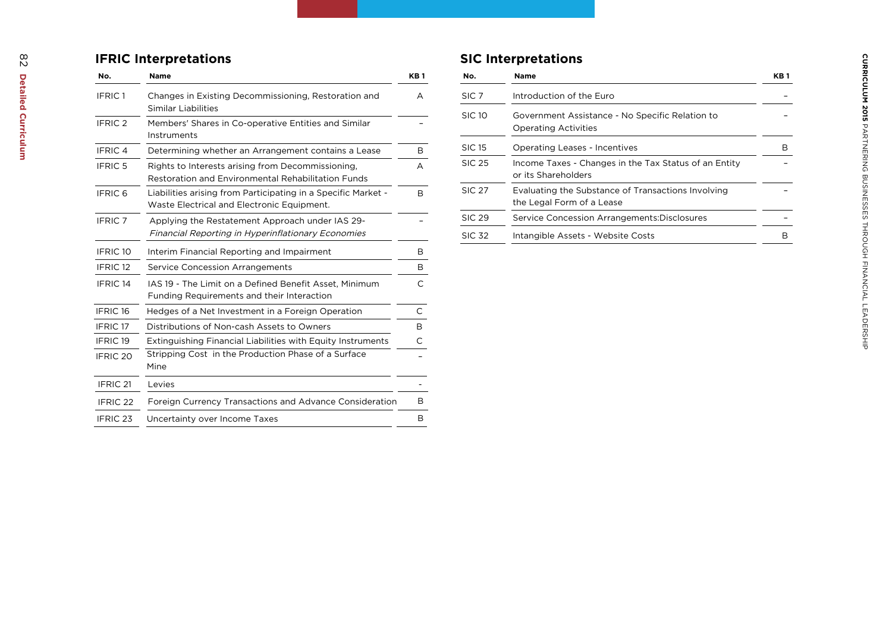#### **I FRIC Interpretations**

| No.                 | Name                                                                                                        | KB <sub>1</sub> |
|---------------------|-------------------------------------------------------------------------------------------------------------|-----------------|
| IFRIC <sub>1</sub>  | Changes in Existing Decommissioning, Restoration and<br>Similar Liabilities                                 | A               |
| IFRIC <sub>2</sub>  | Members' Shares in Co-operative Entities and Similar<br>Instruments                                         |                 |
| IFRIC <sub>4</sub>  | Determining whether an Arrangement contains a Lease                                                         | B               |
| <b>IFRIC 5</b>      | Rights to Interests arising from Decommissioning.<br>Restoration and Environmental Rehabilitation Funds     | A               |
| <b>IFRIC 6</b>      | Liabilities arising from Participating in a Specific Market -<br>Waste Electrical and Electronic Equipment. | B               |
| <b>IFRIC 7</b>      | Applying the Restatement Approach under IAS 29-<br>Financial Reporting in Hyperinflationary Economies       |                 |
| IFRIC <sub>10</sub> | Interim Financial Reporting and Impairment                                                                  | B               |
| IFRIC <sub>12</sub> | Service Concession Arrangements                                                                             | B               |
| IFRIC <sub>14</sub> | IAS 19 - The Limit on a Defined Benefit Asset, Minimum<br>Funding Requirements and their Interaction        | C               |
| IFRIC <sub>16</sub> | Hedges of a Net Investment in a Foreign Operation                                                           | $\mathsf{C}$    |
| IFRIC <sub>17</sub> | Distributions of Non-cash Assets to Owners                                                                  | B               |
| <b>IFRIC 19</b>     | Extinguishing Financial Liabilities with Equity Instruments                                                 | C               |
| IFRIC <sub>20</sub> | Stripping Cost in the Production Phase of a Surface<br>Mine                                                 |                 |
| IFRIC <sub>21</sub> | Levies                                                                                                      |                 |
| IFRIC <sub>22</sub> | Foreign Currency Transactions and Advance Consideration                                                     | B               |
| IFRIC <sub>23</sub> | Uncertainty over Income Taxes                                                                               | B               |

#### **S IC Interpretations**

| No.              | <b>Name</b>                                                                     | KB <sub>1</sub> |
|------------------|---------------------------------------------------------------------------------|-----------------|
| SIC <sub>7</sub> | Introduction of the Euro                                                        |                 |
| <b>SIC 10</b>    | Government Assistance - No Specific Relation to<br><b>Operating Activities</b>  |                 |
| <b>SIC 15</b>    | <b>Operating Leases - Incentives</b>                                            | в               |
| <b>SIC 25</b>    | Income Taxes - Changes in the Tax Status of an Entity<br>or its Shareholders    |                 |
| <b>SIC 27</b>    | Evaluating the Substance of Transactions Involving<br>the Legal Form of a Lease |                 |
| <b>SIC 29</b>    | Service Concession Arrangements: Disclosures                                    |                 |
| <b>SIC 32</b>    | Intangible Assets - Website Costs                                               |                 |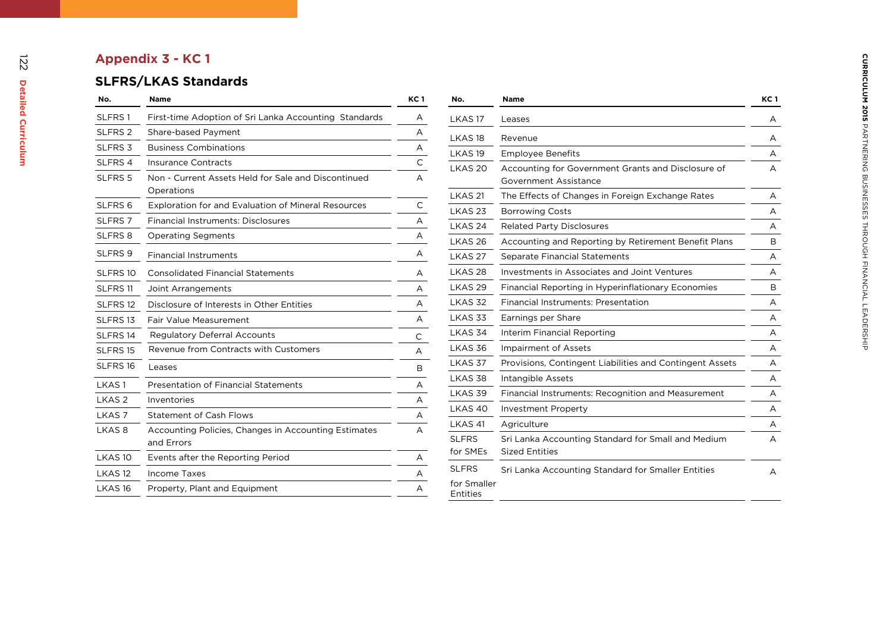# **Appendix 3 - KC 1**

# **SLFRS/LKAS Standards**

| No.                 | <b>Name</b>                                                        | KC 1 |
|---------------------|--------------------------------------------------------------------|------|
| SLFRS <sub>1</sub>  | First-time Adoption of Sri Lanka Accounting Standards              | A    |
| SLFRS <sub>2</sub>  | Share-based Payment                                                | A    |
| SLFRS <sub>3</sub>  | <b>Business Combinations</b>                                       | A    |
| SLFRS 4             | Insurance Contracts                                                | C    |
| SLFRS <sub>5</sub>  | Non - Current Assets Held for Sale and Discontinued<br>Operations  | А    |
| SLFRS <sub>6</sub>  | <b>Exploration for and Evaluation of Mineral Resources</b>         | С    |
| SLFRS <sub>7</sub>  | Financial Instruments: Disclosures                                 | A    |
| SLFRS 8             | <b>Operating Segments</b>                                          | А    |
| SLFRS <sub>9</sub>  | <b>Financial Instruments</b>                                       | A    |
| SLFRS <sub>10</sub> | <b>Consolidated Financial Statements</b>                           | A    |
| SLFRS <sub>11</sub> | Joint Arrangements                                                 | А    |
| SLFRS <sub>12</sub> | Disclosure of Interests in Other Entities                          | А    |
| SLFRS <sub>13</sub> | Fair Value Measurement                                             | А    |
| SLFRS <sub>14</sub> | <b>Regulatory Deferral Accounts</b>                                | С    |
| SLFRS <sub>15</sub> | Revenue from Contracts with Customers                              | А    |
| SLFRS <sub>16</sub> | Leases                                                             | В    |
| LKAS <sub>1</sub>   | <b>Presentation of Financial Statements</b>                        | A    |
| LKAS <sub>2</sub>   | Inventories                                                        | А    |
| LKAS <sub>7</sub>   | <b>Statement of Cash Flows</b>                                     | A    |
| LKAS <sub>8</sub>   | Accounting Policies, Changes in Accounting Estimates<br>and Errors | А    |
| LKAS <sub>10</sub>  | Events after the Reporting Period                                  | A    |
| LKAS <sub>12</sub>  | Income Taxes                                                       | A    |
| LKAS <sub>16</sub>  | Property, Plant and Equipment                                      | A    |
|                     |                                                                    |      |

| No.                      | <b>Name</b>                                                                 | <b>KC1</b> |
|--------------------------|-----------------------------------------------------------------------------|------------|
| LKAS 17                  | Leases                                                                      | A          |
| LKAS <sub>18</sub>       | Revenue                                                                     | A          |
| LKAS <sub>19</sub>       | <b>Employee Benefits</b>                                                    | A          |
| LKAS <sub>20</sub>       | Accounting for Government Grants and Disclosure of<br>Government Assistance | A          |
| LKAS <sub>21</sub>       | The Effects of Changes in Foreign Exchange Rates                            | A          |
| LKAS <sub>23</sub>       | <b>Borrowing Costs</b>                                                      | A          |
| LKAS <sub>24</sub>       | <b>Related Party Disclosures</b>                                            | A          |
| LKAS 26                  | Accounting and Reporting by Retirement Benefit Plans                        | В          |
| LKAS <sub>27</sub>       | Separate Financial Statements                                               | A          |
| LKAS <sub>28</sub>       | Investments in Associates and Joint Ventures                                | A          |
| LKAS <sub>29</sub>       | Financial Reporting in Hyperinflationary Economies                          | B          |
| LKAS <sub>32</sub>       | Financial Instruments: Presentation                                         | A          |
| LKAS 33                  | Earnings per Share                                                          | A          |
| LKAS 34                  | Interim Financial Reporting                                                 | A          |
| LKAS 36                  | <b>Impairment of Assets</b>                                                 | A          |
| LKAS 37                  | Provisions, Contingent Liabilities and Contingent Assets                    | A          |
| LKAS 38                  | Intangible Assets                                                           | A          |
| LKAS 39                  | Financial Instruments: Recognition and Measurement                          | A          |
| LKAS <sub>40</sub>       | <b>Investment Property</b>                                                  | A          |
| LKAS <sub>41</sub>       | Agriculture                                                                 | A          |
| <b>SLFRS</b><br>for SMEs | Sri Lanka Accounting Standard for Small and Medium<br><b>Sized Entities</b> | A          |
| <b>SLFRS</b>             | Sri Lanka Accounting Standard for Smaller Entities                          | A          |
| for Smaller<br>Entities  |                                                                             |            |